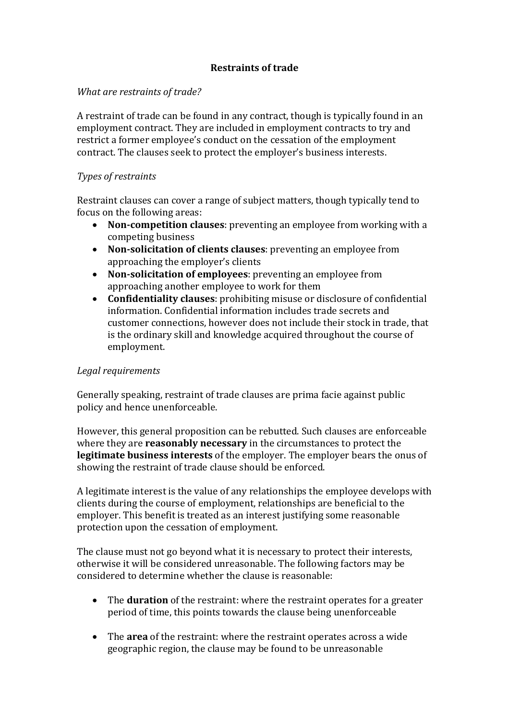# **Restraints of trade**

# *What are restraints of trade?*

A restraint of trade can be found in any contract, though is typically found in an employment contract. They are included in employment contracts to try and restrict a former employee's conduct on the cessation of the employment contract. The clauses seek to protect the employer's business interests.

### *Types of restraints*

Restraint clauses can cover a range of subject matters, though typically tend to focus on the following areas:

- **Non-competition clauses**: preventing an employee from working with a competing business
- **Non-solicitation of clients clauses**: preventing an employee from approaching the employer's clients
- **Non-solicitation of employees**: preventing an employee from approaching another employee to work for them
- **Confidentiality clauses**: prohibiting misuse or disclosure of confidential information. Confidential information includes trade secrets and customer connections, however does not include their stock in trade, that is the ordinary skill and knowledge acquired throughout the course of employment.

#### *Legal requirements*

Generally speaking, restraint of trade clauses are prima facie against public policy and hence unenforceable.

However, this general proposition can be rebutted. Such clauses are enforceable where they are **reasonably necessary** in the circumstances to protect the **legitimate business interests** of the employer. The employer bears the onus of showing the restraint of trade clause should be enforced.

A legitimate interest is the value of any relationships the employee develops with clients during the course of employment, relationships are beneficial to the employer. This benefit is treated as an interest justifying some reasonable protection upon the cessation of employment.

The clause must not go beyond what it is necessary to protect their interests, otherwise it will be considered unreasonable. The following factors may be considered to determine whether the clause is reasonable:

- The **duration** of the restraint: where the restraint operates for a greater period of time, this points towards the clause being unenforceable
- The **area** of the restraint: where the restraint operates across a wide geographic region, the clause may be found to be unreasonable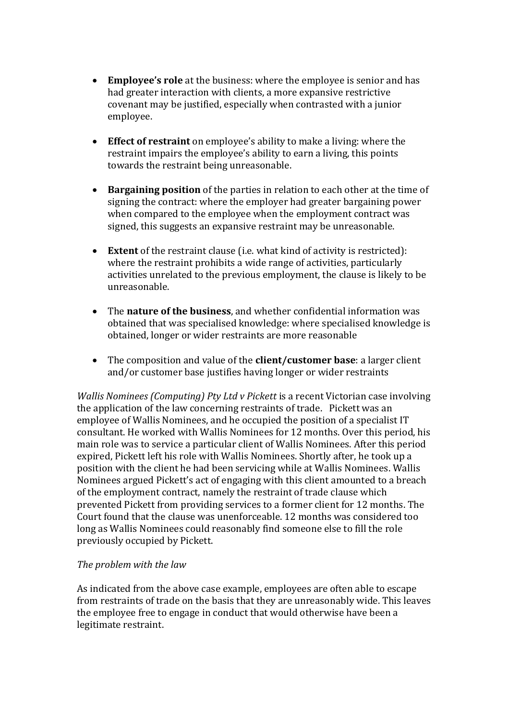- **Employee's role** at the business: where the employee is senior and has had greater interaction with clients, a more expansive restrictive covenant may be justified, especially when contrasted with a junior employee.
- **Effect of restraint** on employee's ability to make a living: where the restraint impairs the employee's ability to earn a living, this points towards the restraint being unreasonable.
- **Bargaining position** of the parties in relation to each other at the time of signing the contract: where the employer had greater bargaining power when compared to the employee when the employment contract was signed, this suggests an expansive restraint may be unreasonable.
- **Extent** of the restraint clause (i.e. what kind of activity is restricted): where the restraint prohibits a wide range of activities, particularly activities unrelated to the previous employment, the clause is likely to be unreasonable.
- The **nature of the business**, and whether confidential information was obtained that was specialised knowledge: where specialised knowledge is obtained, longer or wider restraints are more reasonable
- The composition and value of the **client/customer base**: a larger client and/or customer base justifies having longer or wider restraints

*Wallis Nominees (Computing) Pty Ltd v Pickett* is a recent Victorian case involving the application of the law concerning restraints of trade. Pickett was an employee of Wallis Nominees, and he occupied the position of a specialist IT consultant. He worked with Wallis Nominees for 12 months. Over this period, his main role was to service a particular client of Wallis Nominees. After this period expired, Pickett left his role with Wallis Nominees. Shortly after, he took up a position with the client he had been servicing while at Wallis Nominees. Wallis Nominees argued Pickett's act of engaging with this client amounted to a breach of the employment contract, namely the restraint of trade clause which prevented Pickett from providing services to a former client for 12 months. The Court found that the clause was unenforceable. 12 months was considered too long as Wallis Nominees could reasonably find someone else to fill the role previously occupied by Pickett.

# *The problem with the law*

As indicated from the above case example, employees are often able to escape from restraints of trade on the basis that they are unreasonably wide. This leaves the employee free to engage in conduct that would otherwise have been a legitimate restraint.